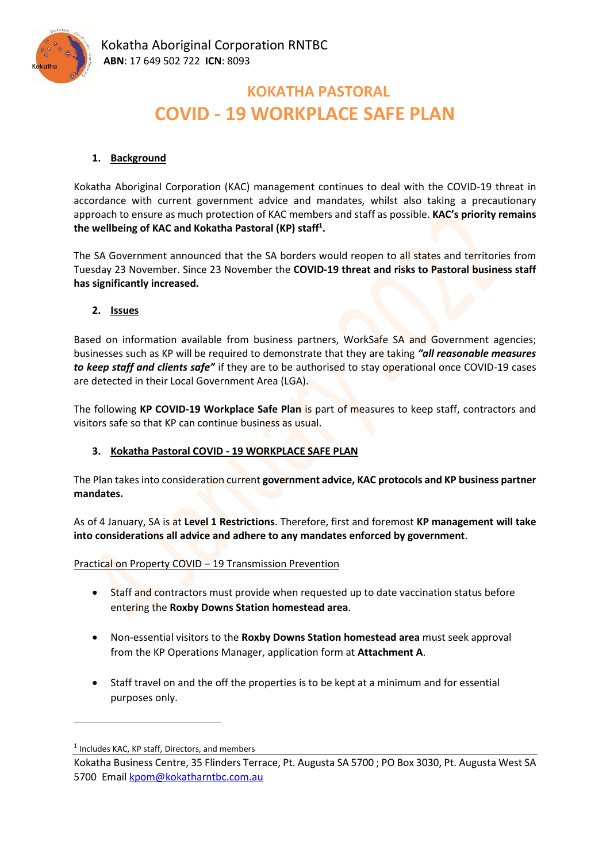

# **KOKATHA PASTORAL COVID - 19 WORKPLACE SAFE PLAN**

### **1. Background**

Kokatha Aboriginal Corporation (KAC) management continues to deal with the COVID-19 threat in accordance with current government advice and mandates, whilst also taking a precautionary approach to ensure as much protection of KAC members and staff as possible. **KAC's priority remains the wellbeing of KAC and Kokatha Pastoral (KP) staff<sup>1</sup> .**

The SA Government announced that the SA borders would reopen to all states and territories from Tuesday 23 November. Since 23 November the **COVID-19 threat and risks to Pastoral business staff has significantly increased.**

**2. Issues**

Based on information available from business partners, WorkSafe SA and Government agencies; businesses such as KP will be required to demonstrate that they are taking *"all reasonable measures to keep staff and clients safe"* if they are to be authorised to stay operational once COVID-19 cases are detected in their Local Government Area (LGA).

The following **KP COVID-19 Workplace Safe Plan** is part of measures to keep staff, contractors and visitors safe so that KP can continue business as usual.

#### **3. Kokatha Pastoral COVID - 19 WORKPLACE SAFE PLAN**

The Plan takes into consideration current **government advice, KAC protocols and KP business partner mandates.** 

As of 4 January, SA is at **Level 1 Restrictions**. Therefore, first and foremost **KP management will take into considerations all advice and adhere to any mandates enforced by government**.

Practical on Property COVID – 19 Transmission Prevention

- Staff and contractors must provide when requested up to date vaccination status before entering the **Roxby Downs Station homestead area**.
- Non-essential visitors to the **Roxby Downs Station homestead area** must seek approval from the KP Operations Manager, application form at **Attachment A**.
- Staff travel on and the off the properties is to be kept at a minimum and for essential purposes only.

<sup>&</sup>lt;sup>1</sup> Includes KAC, KP staff, Directors, and members

Kokatha Business Centre, 35 Flinders Terrace, Pt. Augusta SA 5700 ; PO Box 3030, Pt. Augusta West SA 5700 Email [kpom@kokatharntbc.com.au](mailto:kpom@kokatharntbc.com.au)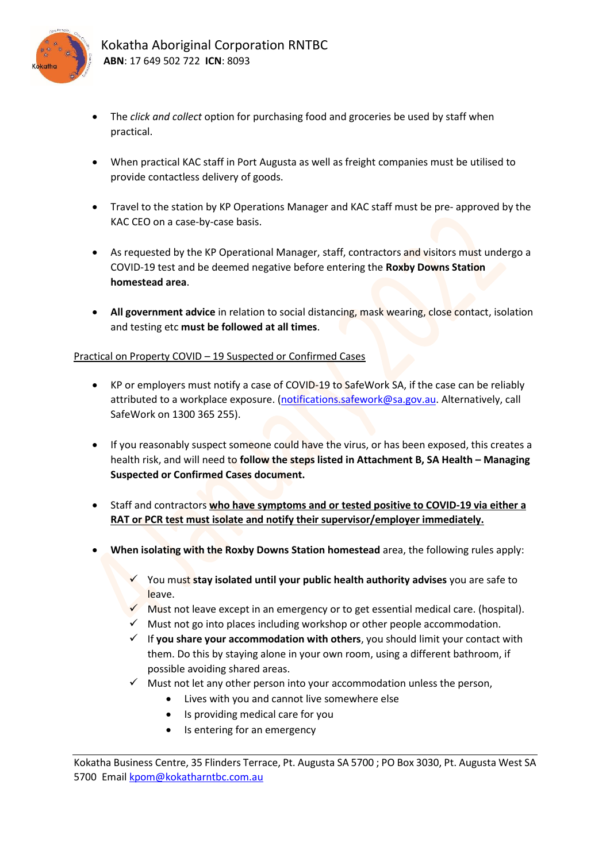

- The *click and collect* option for purchasing food and groceries be used by staff when practical.
- When practical KAC staff in Port Augusta as well as freight companies must be utilised to provide contactless delivery of goods.
- Travel to the station by KP Operations Manager and KAC staff must be pre- approved by the KAC CEO on a case-by-case basis.
- As requested by the KP Operational Manager, staff, contractors and visitors must undergo a COVID-19 test and be deemed negative before entering the **Roxby Downs Station homestead area**.
- **All government advice** in relation to social distancing, mask wearing, close contact, isolation and testing etc **must be followed at all times**.

# Practical on Property COVID – 19 Suspected or Confirmed Cases

- KP or employers must notify a case of COVID-19 to SafeWork SA, if the case can be reliably attributed to a workplace exposure. [\(notifications.safework@sa.gov.au.](mailto:notifications.safework@sa.gov.au) Alternatively, call SafeWork on 1300 365 255).
- If you reasonably suspect someone could have the virus, or has been exposed, this creates a health risk, and will need to **follow the steps listed in Attachment B, SA Health – Managing Suspected or Confirmed Cases document.**
- Staff and contractors **who have symptoms and or tested positive to COVID-19 via either a RAT or PCR test must isolate and notify their supervisor/employer immediately.**
- **When isolating with the Roxby Downs Station homestead** area, the following rules apply:
	- ✓ You must **stay isolated until your public health authority advises** you are safe to leave.
	- $\checkmark$  Must not leave except in an emergency or to get essential medical care. (hospital).
	- Must not go into places including workshop or other people accommodation.
	- ✓ If **you share your accommodation with others**, you should limit your contact with them. Do this by staying alone in your own room, using a different bathroom, if possible avoiding shared areas.
	- $\checkmark$  Must not let any other person into your accommodation unless the person,
		- Lives with you and cannot live somewhere else
		- Is providing medical care for you
		- Is entering for an emergency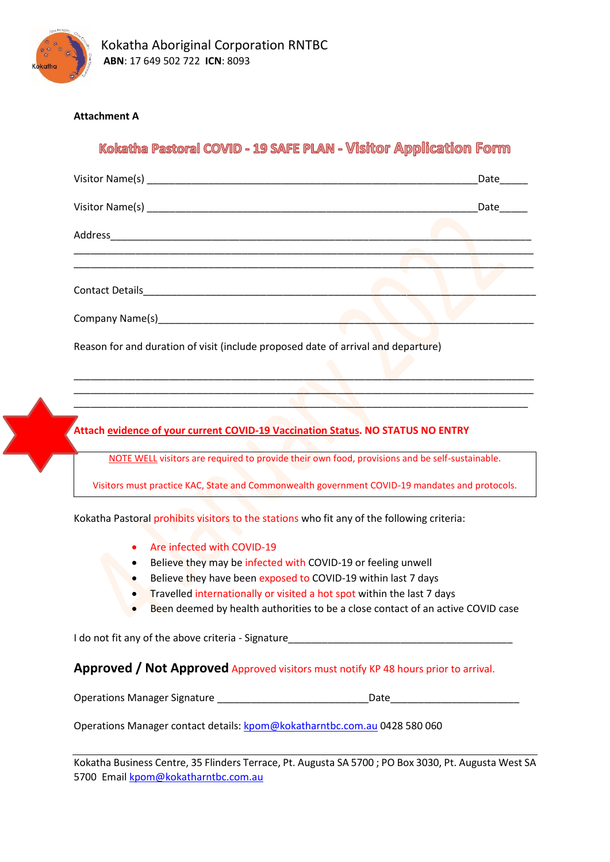

# **Attachment A**

# Kokatha Pastoral COVID - 19 SAFE PLAN - Visitor Application Form

|                                                                                   | Date |
|-----------------------------------------------------------------------------------|------|
|                                                                                   | Date |
|                                                                                   |      |
|                                                                                   |      |
|                                                                                   |      |
|                                                                                   |      |
| Reason for and duration of visit (include proposed date of arrival and departure) |      |
|                                                                                   |      |

**Attach evidence of your current COVID-19 Vaccination Status. NO STATUS NO ENTRY**

NOTE WELL visitors are required to provide their own food, provisions and be self-sustainable.

\_\_\_\_\_\_\_\_\_\_\_\_\_\_\_\_\_\_\_\_\_\_\_\_\_\_\_\_\_\_\_\_\_\_\_\_\_\_\_\_\_\_\_\_\_\_\_\_\_\_\_\_\_\_\_\_\_\_\_\_\_\_\_\_\_\_\_\_\_\_\_\_\_\_\_\_\_\_\_\_\_\_ \_\_\_\_\_\_\_\_\_\_\_\_\_\_\_\_\_\_\_\_\_\_\_\_\_\_\_\_\_\_\_\_\_\_\_\_\_\_\_\_\_\_\_\_\_\_\_\_\_\_\_\_\_\_\_\_\_\_\_\_\_\_\_\_\_\_\_\_\_\_\_\_\_\_\_\_\_\_\_\_\_

Visitors must practice KAC, State and Commonwealth government COVID-19 mandates and protocols.

Kokatha Pastoral prohibits visitors to the stations who fit any of the following criteria:

- Are infected with COVID-19
- Believe they may be infected with COVID-19 or feeling unwell
- Believe they have been exposed to COVID-19 within last 7 days
- Travelled internationally or visited a hot spot within the last 7 days
- Been deemed by health authorities to be a close contact of an active COVID case

I do not fit any of the above criteria - Signature

#### **Approved / Not Approved** Approved visitors must notify KP 48 hours prior to arrival.

Operations Manager Signature \_\_\_\_\_\_\_\_\_\_\_\_\_\_\_\_\_\_\_\_\_\_\_\_\_\_\_Date\_\_\_\_\_\_\_\_\_\_\_\_\_\_\_\_\_\_\_\_\_\_\_

Operations Manager contact details: [kpom@kokatharntbc.com.au](mailto:kpom@kokatharntbc.com.au) 0428 580 060

Kokatha Business Centre, 35 Flinders Terrace, Pt. Augusta SA 5700 ; PO Box 3030, Pt. Augusta West SA 5700 Email [kpom@kokatharntbc.com.au](mailto:kpom@kokatharntbc.com.au)